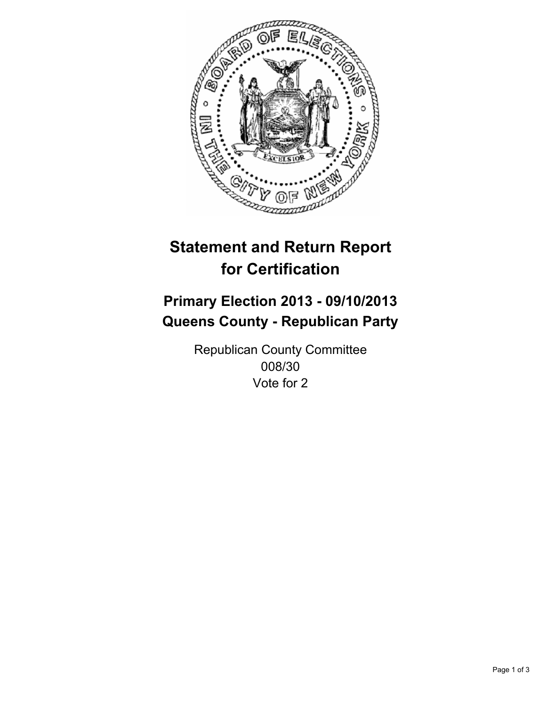

# **Statement and Return Report for Certification**

## **Primary Election 2013 - 09/10/2013 Queens County - Republican Party**

Republican County Committee 008/30 Vote for 2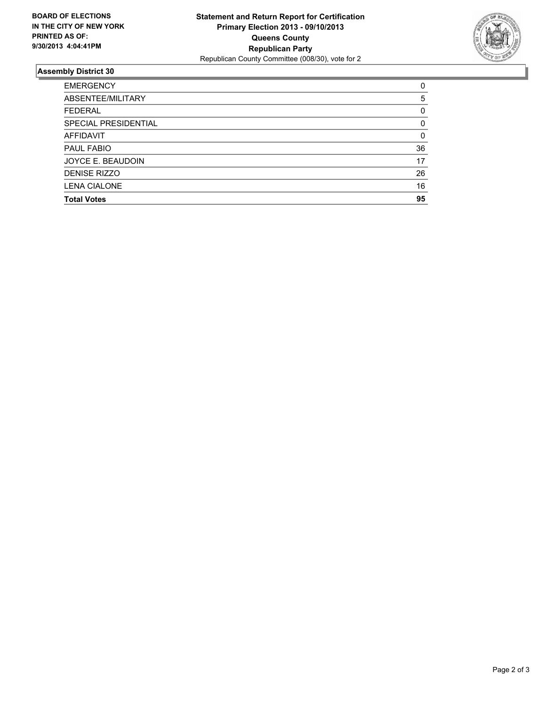

### **Assembly District 30**

| ABSENTEE/MILITARY<br><b>FEDERAL</b><br>SPECIAL PRESIDENTIAL<br><b>AFFIDAVIT</b><br><b>PAUL FABIO</b><br>JOYCE E. BEAUDOIN<br><b>DENISE RIZZO</b><br><b>LENA CIALONE</b><br><b>Total Votes</b> | <b>EMERGENCY</b> | 0        |
|-----------------------------------------------------------------------------------------------------------------------------------------------------------------------------------------------|------------------|----------|
|                                                                                                                                                                                               |                  | 5        |
|                                                                                                                                                                                               |                  | $\Omega$ |
|                                                                                                                                                                                               |                  | $\Omega$ |
|                                                                                                                                                                                               |                  | 0        |
|                                                                                                                                                                                               |                  | 36       |
|                                                                                                                                                                                               |                  | 17       |
|                                                                                                                                                                                               |                  | 26       |
|                                                                                                                                                                                               |                  | 16       |
|                                                                                                                                                                                               |                  | 95       |